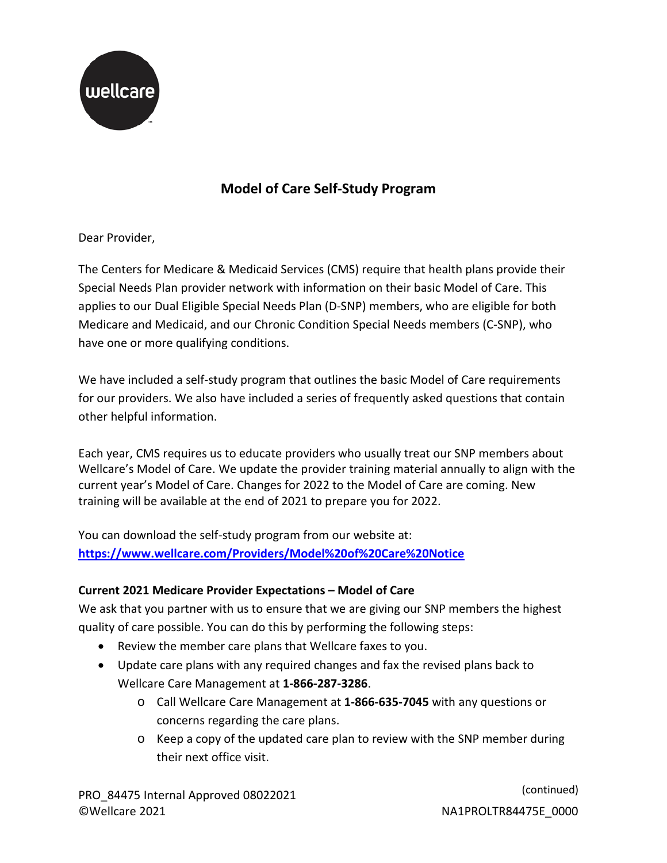

## **Model of Care Self-Study Program**

Dear Provider,

 The Centers for Medicare & Medicaid Services (CMS) require that health plans provide their applies to our Dual Eligible Special Needs Plan (D-SNP) members, who are eligible for both Special Needs Plan provider network with information on their basic Model of Care. This Medicare and Medicaid, and our Chronic Condition Special Needs members (C-SNP), who have one or more qualifying conditions.

 for our providers. We also have included a series of frequently asked questions that contain We have included a self-study program that outlines the basic Model of Care requirements other helpful information.

 Each year, CMS requires us to educate providers who usually treat our SNP members about Wellcare's Model of Care. We update the provider training material annually to align with the current year's Model of Care. Changes for 2022 to the Model of Care are coming. New training will be available at the end of 2021 to prepare you for 2022.

You can download the self-study program from our website at: **<https://www.wellcare.com/Providers/Model%20of%20Care%20Notice>**

## **Current 2021 Medicare Provider Expectations – Model of Care**

 quality of care possible. You can do this by performing the following steps: We ask that you partner with us to ensure that we are giving our SNP members the highest

- Review the member care plans that Wellcare faxes to you.
- Update care plans with any required changes and fax the revised plans back to Wellcare Care Management at **1-866-287-3286**.
	- o Call Wellcare Care Management at **1-866-635-7045** with any questions or concerns regarding the care plans.
	- o Keep a copy of the updated care plan to review with the SNP member during their next office visit.